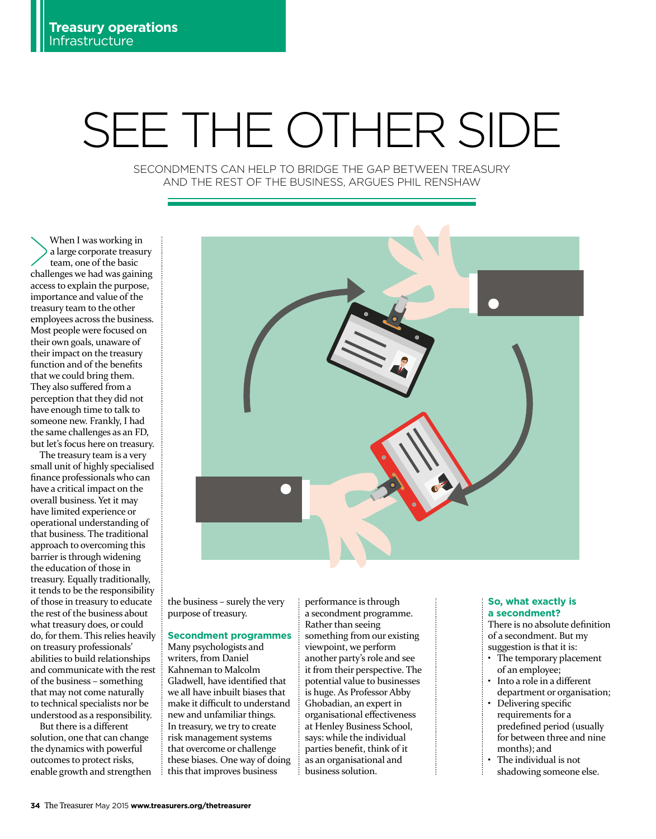# SEE THE OTHER SIDE

SECONDMENTS CAN HELP TO BRIDGE THE GAP BETWEEN TREASURY AND THE REST OF THE BUSINESS, ARGUES PHIL RENSHAW

When I was working in a large corporate treasury team, one of the basic challenges we had was gaining access to explain the purpose, importance and value of the treasury team to the other employees across the business. Most people were focused on their own goals, unaware of their impact on the treasury function and of the benefits that we could bring them. They also suffered from a perception that they did not have enough time to talk to someone new. Frankly, I had the same challenges as an FD, but let's focus here on treasury.

The treasury team is a very small unit of highly specialised finance professionals who can have a critical impact on the overall business. Yet it may have limited experience or operational understanding of that business. The traditional approach to overcoming this barrier is through widening the education of those in treasury. Equally traditionally, it tends to be the responsibility of those in treasury to educate the rest of the business about what treasury does, or could do, for them. This relies heavily on treasury professionals' abilities to build relationships and communicate with the rest of the business – something that may not come naturally to technical specialists nor be understood as a responsibility.

But there is a different solution, one that can change the dynamics with powerful outcomes to protect risks, enable growth and strengthen



the business – surely the very purpose of treasury.

# **Secondment programmes**

Many psychologists and writers, from Daniel Kahneman to Malcolm Gladwell, have identified that we all have inbuilt biases that make it difficult to understand new and unfamiliar things. In treasury, we try to create risk management systems that overcome or challenge these biases. One way of doing this that improves business

performance is through a secondment programme. Rather than seeing something from our existing viewpoint, we perform another party's role and see it from their perspective. The potential value to businesses is huge. As Professor Abby Ghobadian, an expert in organisational effectiveness at Henley Business School, says: while the individual parties benefit, think of it as an organisational and business solution.

## **So, what exactly is a secondment?**

There is no absolute definition of a secondment. But my suggestion is that it is:

- The temporary placement of an employee; • Into a role in a different
- department or organisation;
- Delivering specific requirements for a predefined period (usually for between three and nine months); and
- The individual is not shadowing someone else.